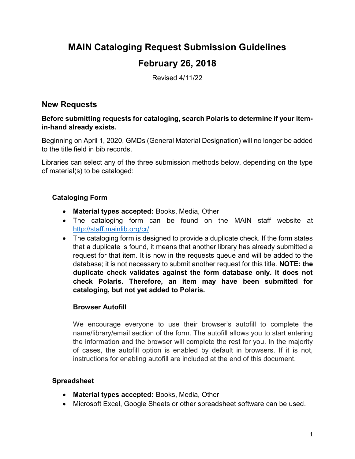# MAIN Cataloging Request Submission Guidelines February 26, 2018

Revised 4/11/22

# New Requests

Before submitting requests for cataloging, search Polaris to determine if your itemin-hand already exists.

Beginning on April 1, 2020, GMDs (General Material Designation) will no longer be added to the title field in bib records.

Libraries can select any of the three submission methods below, depending on the type of material(s) to be cataloged:

#### Cataloging Form

- Material types accepted: Books, Media, Other
- The cataloging form can be found on the MAIN staff website at http://staff.mainlib.org/cr/
- The cataloging form is designed to provide a duplicate check. If the form states that a duplicate is found, it means that another library has already submitted a request for that item. It is now in the requests queue and will be added to the database; it is not necessary to submit another request for this title. NOTE: the duplicate check validates against the form database only. It does not check Polaris. Therefore, an item may have been submitted for cataloging, but not yet added to Polaris.

#### Browser Autofill

We encourage everyone to use their browser's autofill to complete the name/library/email section of the form. The autofill allows you to start entering the information and the browser will complete the rest for you. In the majority of cases, the autofill option is enabled by default in browsers. If it is not, instructions for enabling autofill are included at the end of this document.

#### Spreadsheet

- Material types accepted: Books, Media, Other
- Microsoft Excel, Google Sheets or other spreadsheet software can be used.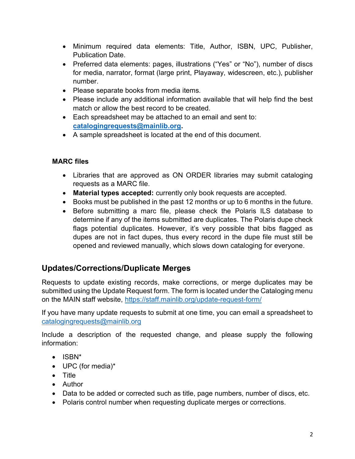- Minimum required data elements: Title, Author, ISBN, UPC, Publisher, Publication Date.
- Preferred data elements: pages, illustrations ("Yes" or "No"), number of discs for media, narrator, format (large print, Playaway, widescreen, etc.), publisher number.
- Please separate books from media items.
- Please include any additional information available that will help find the best match or allow the best record to be created.
- Each spreadsheet may be attached to an email and sent to: catalogingrequests@mainlib.org.
- A sample spreadsheet is located at the end of this document.

#### MARC files

- Libraries that are approved as ON ORDER libraries may submit cataloging requests as a MARC file.
- Material types accepted: currently only book requests are accepted.
- Books must be published in the past 12 months or up to 6 months in the future.
- Before submitting a marc file, please check the Polaris ILS database to determine if any of the items submitted are duplicates. The Polaris dupe check flags potential duplicates. However, it's very possible that bibs flagged as dupes are not in fact dupes, thus every record in the dupe file must still be opened and reviewed manually, which slows down cataloging for everyone.

# Updates/Corrections/Duplicate Merges

Requests to update existing records, make corrections, or merge duplicates may be submitted using the Update Request form. The form is located under the Cataloging menu on the MAIN staff website, https://staff.mainlib.org/update-request-form/

If you have many update requests to submit at one time, you can email a spreadsheet to catalogingrequests@mainlib.org

Include a description of the requested change, and please supply the following information:

- $\bullet$  ISBN\*
- UPC (for media)\*
- Title
- Author
- Data to be added or corrected such as title, page numbers, number of discs, etc.
- Polaris control number when requesting duplicate merges or corrections.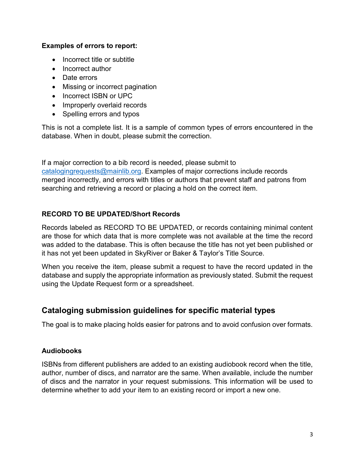#### Examples of errors to report:

- Incorrect title or subtitle
- Incorrect author
- Date errors
- Missing or incorrect pagination
- Incorrect ISBN or UPC
- Improperly overlaid records
- Spelling errors and typos

This is not a complete list. It is a sample of common types of errors encountered in the database. When in doubt, please submit the correction.

If a major correction to a bib record is needed, please submit to catalogingrequests@mainlib.org. Examples of major corrections include records merged incorrectly, and errors with titles or authors that prevent staff and patrons from searching and retrieving a record or placing a hold on the correct item.

## RECORD TO BE UPDATED/Short Records

Records labeled as RECORD TO BE UPDATED, or records containing minimal content are those for which data that is more complete was not available at the time the record was added to the database. This is often because the title has not yet been published or it has not yet been updated in SkyRiver or Baker & Taylor's Title Source.

When you receive the item, please submit a request to have the record updated in the database and supply the appropriate information as previously stated. Submit the request using the Update Request form or a spreadsheet.

# Cataloging submission guidelines for specific material types

The goal is to make placing holds easier for patrons and to avoid confusion over formats.

## Audiobooks

ISBNs from different publishers are added to an existing audiobook record when the title, author, number of discs, and narrator are the same. When available, include the number of discs and the narrator in your request submissions. This information will be used to determine whether to add your item to an existing record or import a new one.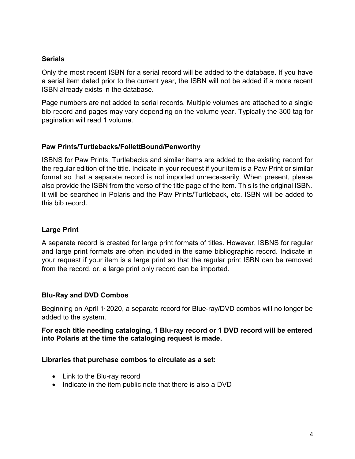#### **Serials**

Only the most recent ISBN for a serial record will be added to the database. If you have a serial item dated prior to the current year, the ISBN will not be added if a more recent ISBN already exists in the database.

Page numbers are not added to serial records. Multiple volumes are attached to a single bib record and pages may vary depending on the volume year. Typically the 300 tag for pagination will read 1 volume.

#### Paw Prints/Turtlebacks/FollettBound/Penworthy

ISBNS for Paw Prints, Turtlebacks and similar items are added to the existing record for the regular edition of the title. Indicate in your request if your item is a Paw Print or similar format so that a separate record is not imported unnecessarily. When present, please also provide the ISBN from the verso of the title page of the item. This is the original ISBN. It will be searched in Polaris and the Paw Prints/Turtleback, etc. ISBN will be added to this bib record.

#### Large Print

A separate record is created for large print formats of titles. However, ISBNS for regular and large print formats are often included in the same bibliographic record. Indicate in your request if your item is a large print so that the regular print ISBN can be removed from the record, or, a large print only record can be imported.

#### Blu-Ray and DVD Combos

Beginning on April 1, 2020, a separate record for Blue-ray/DVD combos will no longer be added to the system.

For each title needing cataloging, 1 Blu-ray record or 1 DVD record will be entered into Polaris at the time the cataloging request is made.

#### Libraries that purchase combos to circulate as a set:

- Link to the Blu-ray record
- Indicate in the item public note that there is also a DVD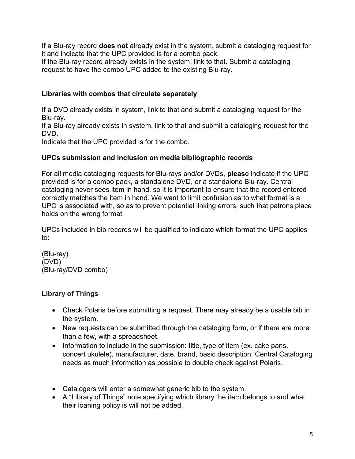If a Blu-ray record **does not** already exist in the system, submit a cataloging request for it and indicate that the UPC provided is for a combo pack.

If the Blu-ray record already exists in the system, link to that. Submit a cataloging request to have the combo UPC added to the existing Blu-ray.

#### Libraries with combos that circulate separately

If a DVD already exists in system, link to that and submit a cataloging request for the Blu-ray.

If a Blu-ray already exists in system, link to that and submit a cataloging request for the DVD.

Indicate that the UPC provided is for the combo.

#### UPCs submission and inclusion on media bibliographic records

For all media cataloging requests for Blu-rays and/or DVDs, please indicate if the UPC provided is for a combo pack, a standalone DVD, or a standalone Blu-ray. Central cataloging never sees item in hand, so it is important to ensure that the record entered correctly matches the item in hand. We want to limit confusion as to what format is a UPC is associated with, so as to prevent potential linking errors, such that patrons place holds on the wrong format.

UPCs included in bib records will be qualified to indicate which format the UPC applies to:

(Blu-ray) (DVD) (Blu-ray/DVD combo)

## Library of Things

- Check Polaris before submitting a request. There may already be a usable bib in the system.
- New requests can be submitted through the cataloging form, or if there are more than a few, with a spreadsheet.
- Information to include in the submission: title, type of item (ex. cake pans, concert ukulele), manufacturer, date, brand, basic description. Central Cataloging needs as much information as possible to double check against Polaris.
- Catalogers will enter a somewhat generic bib to the system.
- A "Library of Things" note specifying which library the item belongs to and what their loaning policy is will not be added.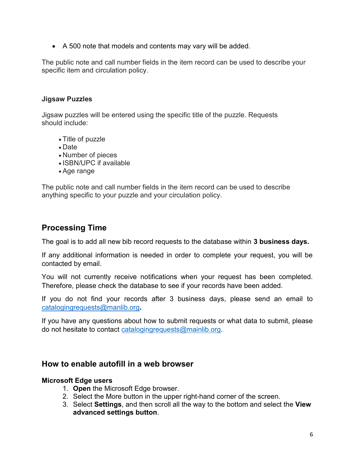A 500 note that models and contents may vary will be added.

The public note and call number fields in the item record can be used to describe your specific item and circulation policy.

#### Jigsaw Puzzles

Jigsaw puzzles will be entered using the specific title of the puzzle. Requests should include:

- Title of puzzle
- Date
- Number of pieces
- ISBN/UPC if available
- Age range

The public note and call number fields in the item record can be used to describe anything specific to your puzzle and your circulation policy.

# Processing Time

The goal is to add all new bib record requests to the database within 3 business days.

If any additional information is needed in order to complete your request, you will be contacted by email.

You will not currently receive notifications when your request has been completed. Therefore, please check the database to see if your records have been added.

If you do not find your records after 3 business days, please send an email to catalogingrequests@manlib.org.

If you have any questions about how to submit requests or what data to submit, please do not hesitate to contact catalogingrequests@mainlib.org.

## How to enable autofill in a web browser

#### Microsoft Edge users

- 1. Open the Microsoft Edge browser.
- 2. Select the More button in the upper right-hand corner of the screen.
- 3. Select Settings, and then scroll all the way to the bottom and select the View advanced settings button.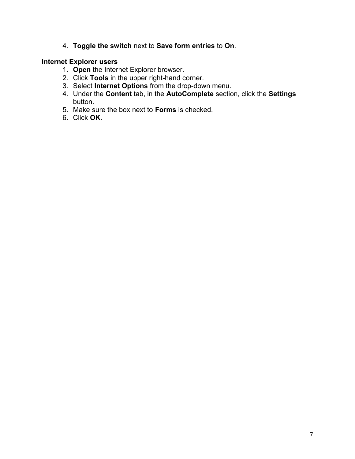4. Toggle the switch next to Save form entries to On.

#### Internet Explorer users

- 1. Open the Internet Explorer browser.
- 2. Click Tools in the upper right-hand corner.
- 3. Select Internet Options from the drop-down menu.
- 4. Under the Content tab, in the AutoComplete section, click the Settings button.
- 5. Make sure the box next to Forms is checked.
- 6. Click OK.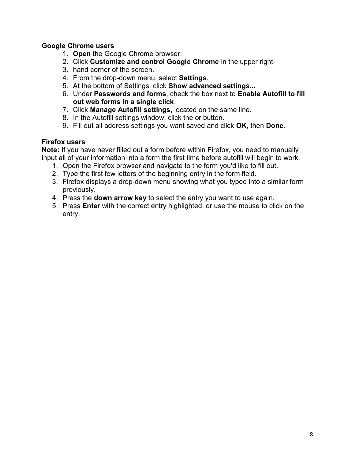#### Google Chrome users

- 1. Open the Google Chrome browser.
- 2. Click Customize and control Google Chrome in the upper right-
- 3. hand corner of the screen.
- 4. From the drop-down menu, select **Settings**.
- 5. At the bottom of Settings, click Show advanced settings...
- 6. Under Passwords and forms, check the box next to Enable Autofill to fill out web forms in a single click.
- 7. Click Manage Autofill settings, located on the same line.
- 8. In the Autofill settings window, click the or button.
- 9. Fill out all address settings you want saved and click OK, then Done.

#### Firefox users

Note: If you have never filled out a form before within Firefox, you need to manually input all of your information into a form the first time before autofill will begin to work.

- 1. Open the Firefox browser and navigate to the form you'd like to fill out.
- 2. Type the first few letters of the beginning entry in the form field.
- 3. Firefox displays a drop-down menu showing what you typed into a similar form previously.
- 4. Press the **down arrow key** to select the entry you want to use again.
- 5. Press Enter with the correct entry highlighted, or use the mouse to click on the entry.